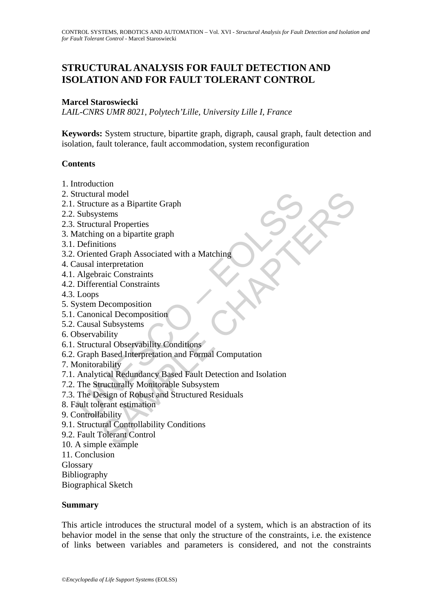# **STRUCTURAL ANALYSIS FOR FAULT DETECTION AND ISOLATION AND FOR FAULT TOLERANT CONTROL**

## **Marcel Staroswiecki**

*LAIL-CNRS UMR 8021, Polytech'Lille, University Lille I, France* 

**Keywords:** System structure, bipartite graph, digraph, causal graph, fault detection and isolation, fault tolerance, fault accommodation, system reconfiguration

## **Contents**

- 1. Introduction
- 2. Structural model
- 2.1. Structure as a Bipartite Graph
- 2.2. Subsystems
- 2.3. Structural Properties
- 3. Matching on a bipartite graph
- 3.1. Definitions
- 3.2. Oriented Graph Associated with a Matching
- 4. Causal interpretation
- 4.1. Algebraic Constraints
- 4.2. Differential Constraints
- 4.3. Loops
- 5. System Decomposition
- 5.1. Canonical Decomposition
- 5.2. Causal Subsystems
- 6. Observability
- 6.1. Structural Observability Conditions
- 6.2. Graph Based Interpretation and Formal Computation
- 7. Monitorability
- tructural model<br>
Structure as a Bipartite Graph<br>
Subsystems<br>
Structural Properties<br>
Structural Properties<br>
Interded Graph Associated with a Matching<br>
Definitions<br>
Oriented Graph Associated with a Matching<br>
ausal interpreta al model<br>
are as a Bipartite Graph<br>
stems<br>
stems<br>
are a Bipartite graph<br>
and Properties<br>
g on a bipartite graph<br>
ed Graph Associated with a Matching<br>
meterpretation<br>
meterpretation<br>
stems that Constraints<br>
Subsystems<br>
Base 7.1. Analytical Redundancy Based Fault Detection and Isolation
- 7.2. The Structurally Monitorable Subsystem
- 7.3. The Design of Robust and Structured Residuals
- 8. Fault tolerant estimation
- 9. Controllability
- 9.1. Structural Controllability Conditions
- 9.2. Fault Tolerant Control
- 10. A simple example
- 11. Conclusion
- **Glossary**
- Bibliography
- Biographical Sketch

### **Summary**

This article introduces the structural model of a system, which is an abstraction of its behavior model in the sense that only the structure of the constraints, i.e. the existence of links between variables and parameters is considered, and not the constraints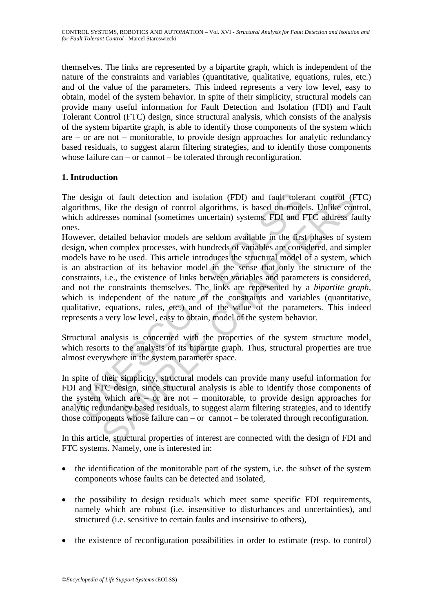themselves. The links are represented by a bipartite graph, which is independent of the nature of the constraints and variables (quantitative, qualitative, equations, rules, etc.) and of the value of the parameters. This indeed represents a very low level, easy to obtain, model of the system behavior. In spite of their simplicity, structural models can provide many useful information for Fault Detection and Isolation (FDI) and Fault Tolerant Control (FTC) design, since structural analysis, which consists of the analysis of the system bipartite graph, is able to identify those components of the system which are – or are not – monitorable, to provide design approaches for analytic redundancy based residuals, to suggest alarm filtering strategies, and to identify those components whose failure can – or cannot – be tolerated through reconfiguration.

## **1. Introduction**

The design of fault detection and isolation (FDI) and fault tolerant control (FTC) algorithms, like the design of control algorithms, is based on models. Unlike control, which addresses nominal (sometimes uncertain) systems, FDI and FTC address faulty ones.

design of fault detection and isolation (FDI) and fault toler<br>rithms, like the design of control algorithms, is based on mode<br>ch addresses nominal (sometimes uncertain) systems, FDI and F<br>sevevr, detailed behavior models 1 of fault detection and isolation (FDI) and fault tolerant control (F<br>
is like the design of control algorithms, is based on models. Unlike concesses nominal (sometimes uncertain) systems. FDI and FTC address fa<br>
detaile However, detailed behavior models are seldom available in the first phases of system design, when complex processes, with hundreds of variables are considered, and simpler models have to be used. This article introduces the structural model of a system, which is an abstraction of its behavior model in the sense that only the structure of the constraints, i.e., the existence of links between variables and parameters is considered, and not the constraints themselves. The links are represented by a *bipartite graph,* which is independent of the nature of the constraints and variables (quantitative, qualitative, equations, rules, etc.) and of the value of the parameters. This indeed represents a very low level, easy to obtain, model of the system behavior.

Structural analysis is concerned with the properties of the system structure model, which resorts to the analysis of its bipartite graph. Thus, structural properties are true almost everywhere in the system parameter space.

In spite of their simplicity, structural models can provide many useful information for FDI and FTC design, since structural analysis is able to identify those components of the system which are – or are not – monitorable, to provide design approaches for analytic redundancy based residuals, to suggest alarm filtering strategies, and to identify those components whose failure can – or cannot – be tolerated through reconfiguration.

In this article, structural properties of interest are connected with the design of FDI and FTC systems. Namely, one is interested in:

- the identification of the monitorable part of the system, i.e. the subset of the system components whose faults can be detected and isolated,
- the possibility to design residuals which meet some specific FDI requirements, namely which are robust (i.e. insensitive to disturbances and uncertainties), and structured (i.e. sensitive to certain faults and insensitive to others),
- the existence of reconfiguration possibilities in order to estimate (resp. to control)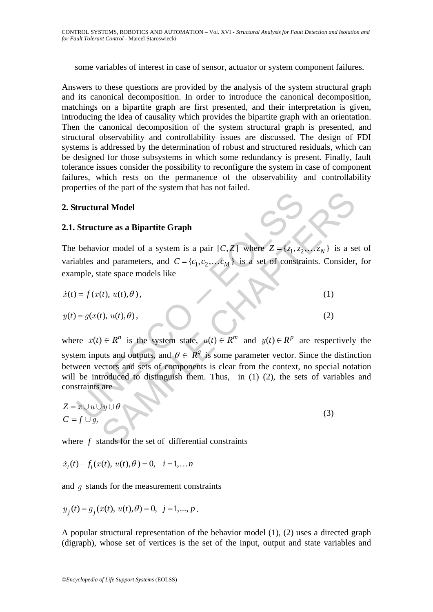some variables of interest in case of sensor, actuator or system component failures.

Answers to these questions are provided by the analysis of the system structural graph and its canonical decomposition. In order to introduce the canonical decomposition, matchings on a bipartite graph are first presented, and their interpretation is given, introducing the idea of causality which provides the bipartite graph with an orientation. Then the canonical decomposition of the system structural graph is presented, and structural observability and controllability issues are discussed. The design of FDI systems is addressed by the determination of robust and structured residuals, which can be designed for those subsystems in which some redundancy is present. Finally, fault tolerance issues consider the possibility to reconfigure the system in case of component failures, which rests on the permanence of the observability and controllability properties of the part of the system that has not failed.

### **2. Structural Model**

### **2.1. Structure as a Bipartite Graph**

The behavior model of a system is a pair  $[C, Z]$  where  $Z = \{z_1, z_2, \ldots z_N\}$  is a set of variables and parameters, and  $C = \{c_1, c_2, \ldots c_M\}$  is a set of constraints. Consider, for example, state space models like

$$
\dot{x}(t) = f(x(t), u(t), \theta),\tag{1}
$$

$$
y(t) = g(x(t), u(t), \theta), \tag{2}
$$

**Example 1**<br> **Example 18 Structure as a Bipartite Graph**<br>
behavior model of a system is a pair  $[C, Z]$  where  $Z = \{z_1, z_2$ <br>
ables and parameters, and  $C = \{c_1, c_2,..., c_M\}$  is a set of constrance<br>
ample, state space models li and Model<br>
ure as a Bipartite Graph<br>
ior model of a system is a pair  $[C, Z]$  where  $Z = \{z_1, z_2, ..., z_N\}$  is a set<br>
and parameters, and  $C = \{c_1, c_2, ..., c_M\}$  is a set of constraints. Consider,<br>
tate space models like<br>
(*t*),  $u$ where  $x(t) \in R^n$  is the system state,  $u(t) \in R^m$  and  $y(t) \in R^p$  are respectively the system inputs and outputs, and  $\theta \in \mathbb{R}^q$  is some parameter vector. Since the distinction between vectors and sets of components is clear from the context, no special notation will be introduced to distinguish them. Thus, in (1) (2), the sets of variables and constraints are

$$
Z = x \cup u \cup y \cup \theta
$$
  
\n
$$
C = f \cup g,
$$
\n(3)

where *f* stands for the set of differential constraints

$$
\dot{x}_i(t) - f_i(x(t), u(t), \theta) = 0, \quad i = 1,...n
$$

and *g* stands for the measurement constraints

$$
y_j(t) = g_j(x(t), u(t), \theta) = 0, \ \ j = 1, ..., p.
$$

A popular structural representation of the behavior model (1), (2) uses a directed graph (digraph), whose set of vertices is the set of the input, output and state variables and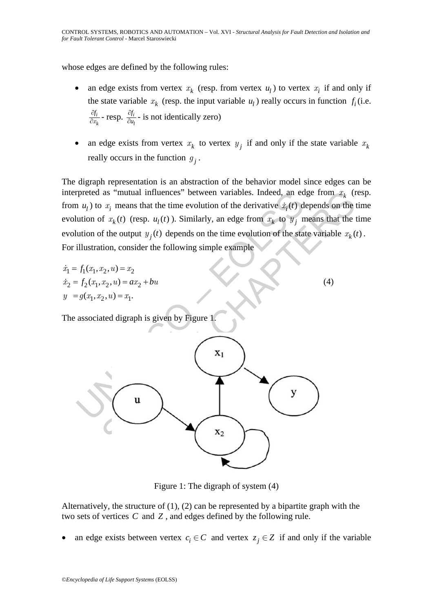whose edges are defined by the following rules:

- an edge exists from vertex  $x_k$  (resp. from vertex  $u_l$ ) to vertex  $x_i$  if and only if the state variable  $x_k$  (resp. the input variable  $u_l$ ) really occurs in function  $f_i$  (i.e. *i k*  $\frac{\partial f_i}{\partial x_k}$  - resp.  $\frac{\partial f_i}{\partial u_l}$ *f u*  $\frac{\partial f_i}{\partial u_i}$  - is not identically zero)
- an edge exists from vertex  $x_k$  to vertex  $y_j$  if and only if the state variable  $x_k$ really occurs in the function  $g_i$ .

The digraph representation is an abstraction of the behavior model since edges can be interpreted as "mutual influences" between variables. Indeed, an edge from  $x_k$  (resp. from  $u_1$ ) to  $x_i$  means that the time evolution of the derivative  $\dot{x}_i(t)$  depends on the time evolution of  $x_k(t)$  (resp.  $u_l(t)$ ). Similarly, an edge from  $x_k$  to  $y_i$  means that the time evolution of the output  $y_i(t)$  depends on the time evolution of the state variable  $x_k(t)$ . For illustration, consider the following simple example

$$
\begin{aligned}\n\dot{x}_1 &= f_1(x_1, x_2, u) = x_2\\ \n\dot{x}_2 &= f_2(x_1, x_2, u) = ax_2 + bu\\ \ny &= g(x_1, x_2, u) = x_1.\n\end{aligned} \tag{4}
$$

The associated digraph is given by Figure 1.



Figure 1: The digraph of system (4)

Alternatively, the structure of (1), (2) can be represented by a bipartite graph with the two sets of vertices *C* and *Z* , and edges defined by the following rule.

an edge exists between vertex  $c_i \in C$  and vertex  $z_i \in Z$  if and only if the variable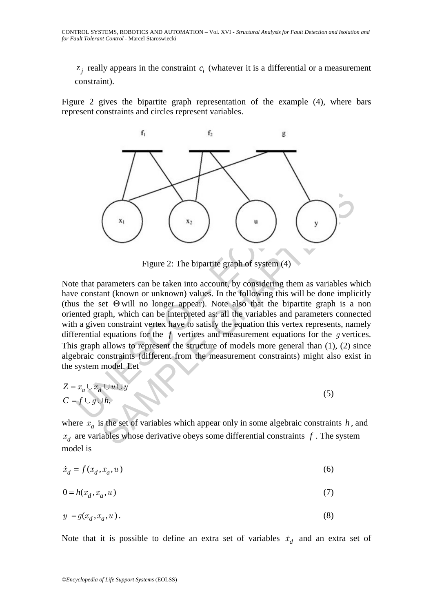$z_i$  really appears in the constraint  $c_i$  (whatever it is a differential or a measurement constraint).

Figure 2 gives the bipartite graph representation of the example (4), where bars represent constraints and circles represent variables.



Figure 2: The bipartite graph of system (4)

Figure 2: The bipartite graph of system (4)<br>Figure 2: The bipartite graph of system (4)<br>e that parameters can be taken into account, by considering them<br>e constant (known or unknown) values. In the following this will<br>nte Figure 2: The bipartite graph of system (4)<br>Figure 2: The bipartite graph of system (4)<br>arameters can be taken into account, by considering them as variables we<br>ant (known or unknown) values. In the following this will be Note that parameters can be taken into account, by considering them as variables which have constant (known or unknown) values. In the following this will be done implicitly (thus the set  $\Theta$  will no longer appear). Note also that the bipartite graph is a non oriented graph, which can be interpreted as: all the variables and parameters connected with a given constraint vertex have to satisfy the equation this vertex represents, namely differential equations for the *f* vertices and measurement equations for the *g* vertices. This graph allows to represent the structure of models more general than (1), (2) since algebraic constraints (different from the measurement constraints) might also exist in the system model. Let

$$
Z = x_a \cup x_d \cup u \cup y
$$
  
\n
$$
C = f \cup g \cup h,
$$
\n(5)

where  $x_a$  is the set of variables which appear only in some algebraic constraints  $h$ , and  $x_d$  are variables whose derivative obeys some differential constraints  $f$ . The system model is

$$
\dot{x}_d = f(x_d, x_a, u) \tag{6}
$$

$$
0 = h(x_d, x_a, u) \tag{7}
$$

$$
y = g(x_d, x_a, u). \tag{8}
$$

Note that it is possible to define an extra set of variables  $\dot{x}_d$  and an extra set of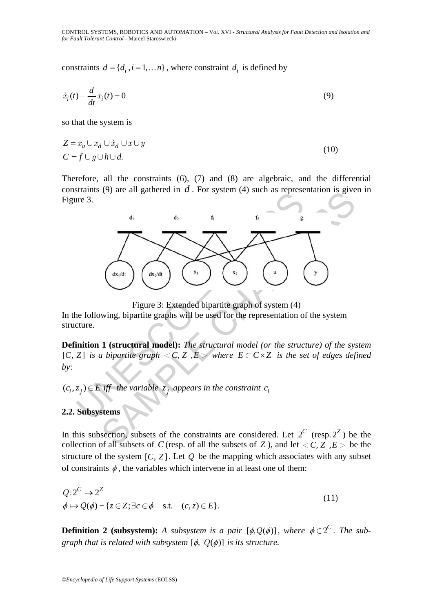constraints  $d = \{d_i, i = 1, \dots n\}$ , where constraint  $d_i$  is defined by

$$
\dot{x}_i(t) - \frac{d}{dt}x_i(t) = 0\tag{9}
$$

so that the system is

$$
Z = x_a \cup x_d \cup \dot{x}_d \cup x \cup y
$$
  
\n
$$
C = f \cup g \cup h \cup d.
$$
\n(10)

Therefore, all the constraints (6), (7) and (8) are algebraic, and the differential constraints (9) are all gathered in *d* . For system (4) such as representation is given in Figure 3.



Figure 3: Extended bipartite graph of system (4)

In the following, bipartite graphs will be used for the representation of the system structure.

**Definition 1 (structural model):** *The structural model (or the structure) of the system*  $[C, Z]$  *is a bipartite graph*  $\langle C, Z \rangle$ ,  $E \rangle$  where  $E \subset C \times Z$  *is the set of edges defined by*:

 $(c_i, z_j) ∈ E$  *iff* the variable  $z_j$  appears in the constraint  $c_i$ 

## **2.2. Subsystems**

In this subsection, subsets of the constraints are considered. Let  $2^C$  (resp.  $2^Z$ ) be the collection of all subsets of *C* (resp. of all the subsets of *Z*), and let  $\langle C, Z, E \rangle$  be the structure of the system  $[C, Z]$ . Let  $Q$  be the mapping which associates with any subset of constraints  $\phi$ , the variables which intervene in at least one of them:

 $Q: 2^C \rightarrow 2^Z$  $\phi \mapsto Q(\phi) = \{ z \in \mathbb{Z} ; \exists c \in \phi \quad \text{s.t.} \quad (c, z) \in E \}.$  $: 2^{\mathcal{C}} \rightarrow 2^{\mathcal{L}}$  (11)

**Definition 2 (subsystem):** *A subsystem is a pair*  $[\phi, Q(\phi)]$ , where  $\phi \in 2^C$ . The sub*graph that is related with subsystem*  $[\phi, Q(\phi)]$  *is its structure.*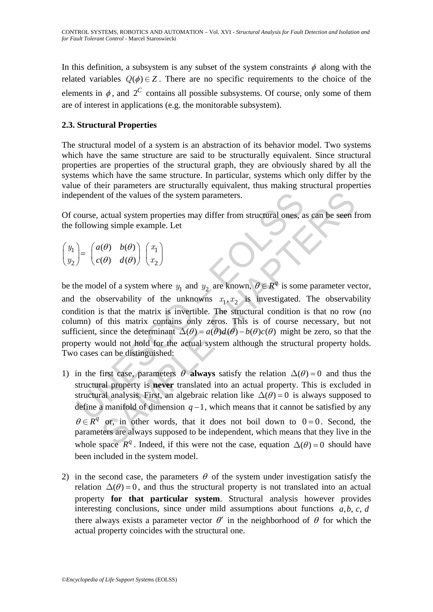In this definition, a subsystem is any subset of the system constraints  $\phi$  along with the related variables  $Q(\phi) \in Z$ . There are no specific requirements to the choice of the elements in  $\phi$ , and  $2^C$  contains all possible subsystems. Of course, only some of them are of interest in applications (e.g. the monitorable subsystem).

## **2.3. Structural Properties**

The structural model of a system is an abstraction of its behavior model. Two systems which have the same structure are said to be structurally equivalent. Since structural properties are properties of the structural graph, they are obviously shared by all the systems which have the same structure. In particular, systems which only differ by the value of their parameters are structurally equivalent, thus making structural properties independent of the values of the system parameters.

Of course, actual system properties may differ from structural ones, as can be seen from the following simple example. Let

$$
\begin{pmatrix} y_1 \\ y_2 \end{pmatrix} = \begin{pmatrix} a(\theta) & b(\theta) \\ c(\theta) & d(\theta) \end{pmatrix} \begin{pmatrix} x_1 \\ x_2 \end{pmatrix}
$$

pendent of the values of the system parameters.<br>
course, actual system properties may differ from structural ones, a<br>
collowing simple example. Let<br>  $\begin{pmatrix} a(\theta) & b(\theta) \\ c(\theta) & d(\theta) \end{pmatrix} \begin{pmatrix} x_1 \\ x_2 \end{pmatrix}$ <br>
he model of a syst be the model of a system where  $y_1$  and  $y_2$  are known,  $\theta \in \mathbb{R}^q$  is some parameter vector, and the observability of the unknowns  $x_1, x_2$  is investigated. The observability condition is that the matrix is invertible. The structural condition is that no row (no column) of this matrix contains only zeros. This is of course necessary, but not sufficient, since the determinant  $\Delta(\theta) = a(\theta)d(\theta) - b(\theta)c(\theta)$  might be zero, so that the property would not hold for the actual system although the structural property holds. Two cases can be distinguished:

- It of the values of the system parameters.<br>
actual system properties may differ from structural ones, as can be seen fig simple example. Let<br>  $(\theta) b(\theta)$   $d(\theta)$   $\binom{x_1}{x_2}$ <br>  $e^{(\theta)} d(\theta)$   $d(\theta)$   $\binom{x_1}{x_2}$ <br>  $f(x_1)$ <br>  $f(x_$ 1) in the first case, parameters  $\theta$  **always** satisfy the relation  $\Delta(\theta) = 0$  and thus the structural property is **never** translated into an actual property. This is excluded in structural analysis. First, an algebraic relation like  $\Delta(\theta) = 0$  is always supposed to define a manifold of dimension  $q-1$ , which means that it cannot be satisfied by any  $\theta \in \overline{R}^q$  or, in other words, that it does not boil down to  $0 = 0$ . Second, the parameters are always supposed to be independent, which means that they live in the whole space  $R^q$ . Indeed, if this were not the case, equation  $\Delta(\theta) = 0$  should have been included in the system model.
- 2) in the second case, the parameters  $\theta$  of the system under investigation satisfy the relation  $\Delta(\theta) = 0$ , and thus the structural property is not translated into an actual property **for that particular system**. Structural analysis however provides interesting conclusions, since under mild assumptions about functions  $a, b, c, d$ there always exists a parameter vector  $\theta'$  in the neighborhood of  $\theta$  for which the actual property coincides with the structural one.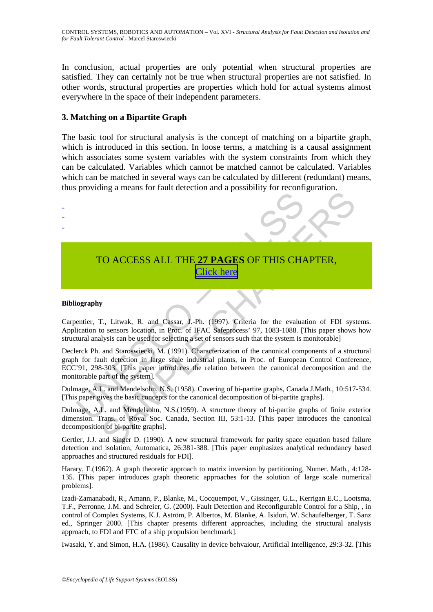CONTROL SYSTEMS, ROBOTICS AND AUTOMATION – Vol. XVI - *Structural Analysis for Fault Detection and Isolation and for Fault Tolerant Control* - Marcel Staroswiecki

In conclusion, actual properties are only potential when structural properties are satisfied. They can certainly not be true when structural properties are not satisfied. In other words, structural properties are properties which hold for actual systems almost everywhere in the space of their independent parameters.

### **3. Matching on a Bipartite Graph**

The basic tool for structural analysis is the concept of matching on a bipartite graph, which is introduced in this section. In loose terms, a matching is a causal assignment which associates some system variables with the system constraints from which they can be calculated. Variables which cannot be matched cannot be calculated. Variables which can be matched in several ways can be calculated by different (redundant) means, thus providing a means for fault detection and a possibility for reconfiguration.



# TO ACCESS ALL THE **27 PAGES** OF THIS CHAPTER, Click here

#### **Bibliography**

Carpentier, T., Litwak, R. and Cassar, J.-Ph. (1997). Criteria for the evaluation of FDI systems. Application to sensors location, in Proc. of IFAC Safeprocess' 97, 1083-1088. [This paper shows how structural analysis can be used for selecting a set of sensors such that the system is monitorable]

Declerck Ph. and Staroswiecki, M. (1991). Characterization of the canonical components of a structural graph for fault detection in large scale industrial plants, in Proc. of European Control Conference, ECC'91, 298-303. [This paper introduces the relation between the canonical decomposition and the monitorable part of the system].

Dulmage, A.L. and Mendelsohn, N.S. (1958). Covering of bi-partite graphs, Canada J.Math., 10:517-534. [This paper gives the basic concepts for the canonical decomposition of bi-partite graphs].

Dulmage, A.L. and Mendelsohn, N.S.(1959). A structure theory of bi-partite graphs of finite exterior dimension. Trans. of Royal Soc. Canada, Section III, 53:1-13. [This paper introduces the canonical decomposition of bi-partite graphs].

Gertler, J.J. and Singer D. (1990). A new structural framework for parity space equation based failure detection and isolation, Automatica, 26:381-388. [This paper emphasizes analytical redundancy based approaches and structured residuals for FDI].

Harary, F.(1962). A graph theoretic approach to matrix inversion by partitioning, Numer. Math., 4:128- 135. [This paper introduces graph theoretic approaches for the solution of large scale numerical problems].

Izadi-Zamanabadi, R., Amann, P., Blanke, M., Cocquempot, V., Gissinger, G.L., Kerrigan E.C., Lootsma, T.F., Perronne, J.M. and Schreier, G. (2000). Fault Detection and Reconfigurable Control for a Ship, , in control of Complex Systems, K.J. Aström, P. Albertos, M. Blanke, A. Isidori, W. Schaufelberger, T. Sanz ed., Springer 2000. [This chapter presents different approaches, including the structural analysis approach, to FDI and FTC of a ship propulsion benchmark].

Iwasaki, Y. and Simon, H.A. (1986). Causality in device behvaiour, Artificial Intelligence, 29:3-32. [This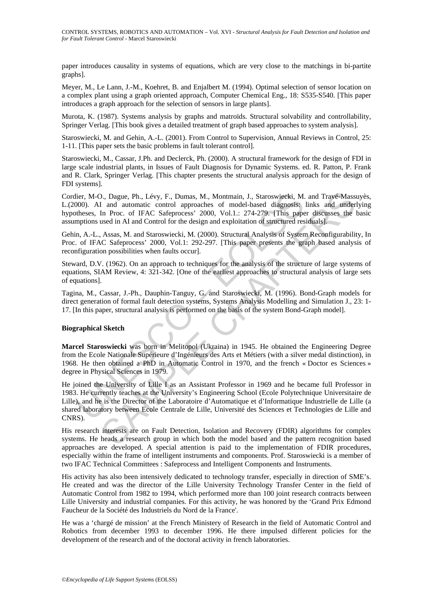paper introduces causality in systems of equations, which are very close to the matchings in bi-partite graphs].

Meyer, M., Le Lann, J.-M., Koehret, B. and Enjalbert M. (1994). Optimal selection of sensor location on a complex plant using a graph oriented approach, Computer Chemical Eng., 18: S535-S540. [This paper introduces a graph approach for the selection of sensors in large plants].

Murota, K. (1987). Systems analysis by graphs and matroïds. Structural solvability and controllability, Springer Verlag. [This book gives a detailed treatment of graph based approaches to system analysis].

Staroswiecki, M. and Gehin, A.-L. (2001). From Control to Supervision, Annual Reviews in Control, 25: 1-11. [This paper sets the basic problems in fault tolerant control].

Staroswiecki, M., Cassar, J.Ph. and Declerck, Ph. (2000). A structural framework for the design of FDI in large scale industrial plants, in Issues of Fault Diagnosis for Dynamic Systems. ed. R. Patton, P. Frank and R. Clark, Springer Verlag. [This chapter presents the structural analysis approach for the design of FDI systems].

Cordier, M-O., Dague, Ph., Lévy, F., Dumas, M., Montmain, J., Staroswiecki, M. and Travé-Massuyès, L.(2000). AI and automatic control approaches of model-based diagnosis: links and underlying hypotheses, In Proc. of IFAC Safeprocess' 2000, Vol.1.: 274-279. [This paper discusses the basic assumptions used in AI and Control for the design and exploitation of structured residuals].

Gehin, A.-L., Assas, M. and Staroswiecki, M. (2000). Structural Analysis of System Reconfigurability, In Proc. of IFAC Safeprocess' 2000, Vol.1: 292-297. [This paper presents the graph based analysis of reconfiguration possibilities when faults occur].

Steward, D.V. (1962). On an approach to techniques for the analysis of the structure of large systems of equations, SIAM Review, 4: 321-342. [One of the earliest approaches to structural analysis of large sets of equations].

Tagina, M., Cassar, J.-Ph., Dauphin-Tanguy, G. and Staroswiecki, M. (1996). Bond-Graph models for direct generation of formal fault detection systems, Systems Analysis Modelling and Simulation J., 23: 1- 17. [In this paper, structural analysis is performed on the basis of the system Bond-Graph model].

#### **Biographical Sketch**

**Marcel Staroswiecki** was born in Melitopol (Ukraina) in 1945. He obtained the Engineering Degree from the Ecole Nationale Supérieure d'Ingénieurs des Arts et Métiers (with a silver medal distinction), in 1968. He then obtained a PhD in Automatic Control in 1970, and the french « Doctor es Sciences » degree in Physical Sciences in 1979.

lier, M-O., Dague, Ph., Lévy, F., Dumas, M., Montmain, J., Staroswiecki, M.<br>
2000). Al and automatic control approaches of model-based diagnossis:<br>
theness, In Proc. of IFAC Safeprocess' 2000, Vol.1: 274-279. [This paper<br> I and automatic control approaches of model-based in an antonion of a matter and automatic control approaches of model-based diagnosis; links and drawer and model-based in AI and Control approaches of model-based in agree He joined the University of Lille I as an Assistant Professor in 1969 and he became full Professor in 1983. He currently teaches at the University's Engineering School (Ecole Polytechnique Universitaire de Lille), and he is the Director of the Laboratoire d'Automatique et d'Informatique Industrielle de Lille (a shared laboratory between Ecole Centrale de Lille, Université des Sciences et Technologies de Lille and CNRS).

His research interests are on Fault Detection, Isolation and Recovery (FDIR) algorithms for complex systems. He heads a research group in which both the model based and the pattern recognition based approaches are developed. A special attention is paid to the implementation of FDIR procedures, especially within the frame of intelligent instruments and components. Prof. Staroswiecki is a member of two IFAC Technical Committees : Safeprocess and Intelligent Components and Instruments.

His activity has also been intensively dedicated to technology transfer, especially in direction of SME's. He created and was the director of the Lille University Technology Transfer Center in the field of Automatic Control from 1982 to 1994, which performed more than 100 joint research contracts between Lille University and industrial companies. For this activity, he was honored by the 'Grand Prix Edmond Faucheur de la Société des Industriels du Nord de la France'.

He was a 'chargé de mission' at the French Ministery of Research in the field of Automatic Control and Robotics from december 1993 to december 1996. He there impulsed different policies for the development of the research and of the doctoral activity in french laboratories.